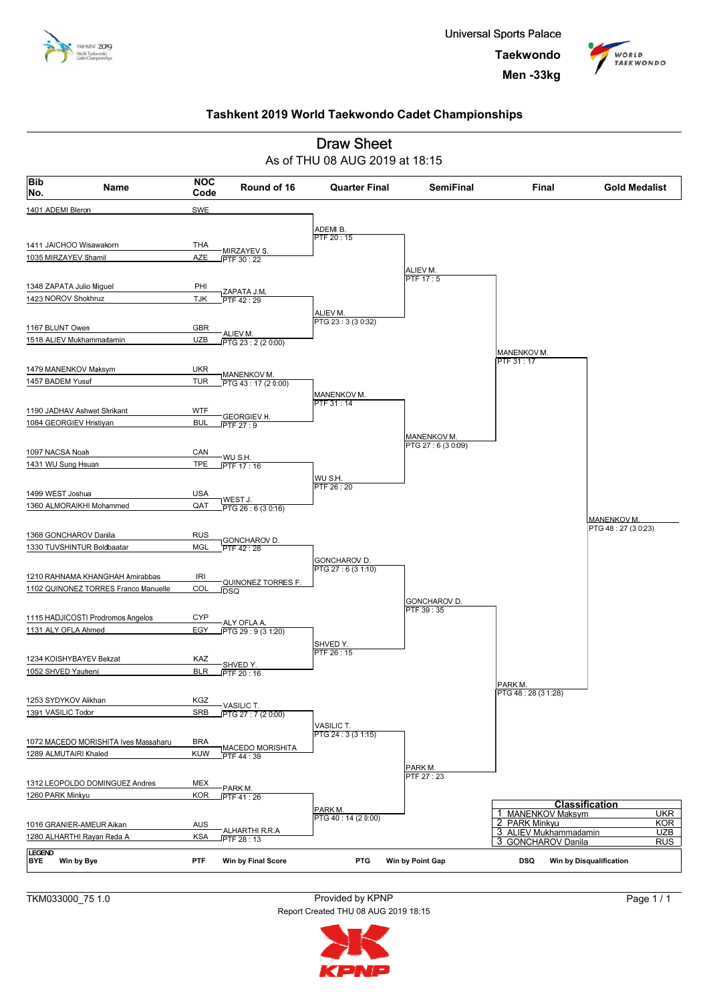





TKM033000\_75 1.0 Provided by KPNP Report Created THU 08 AUG 2019 18:15

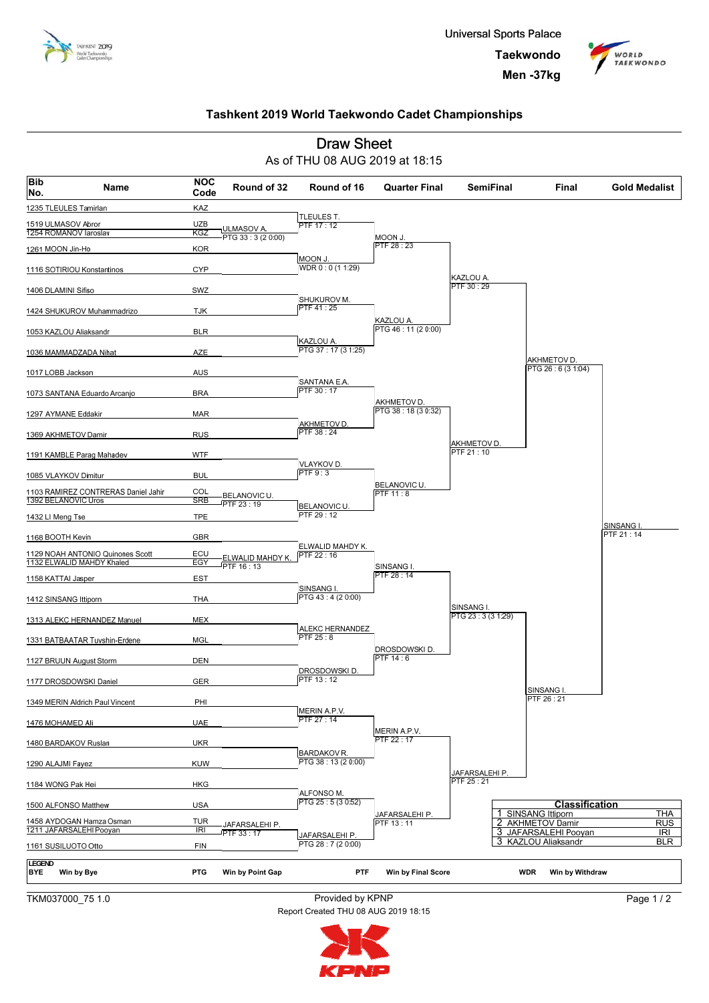



#### **Draw Sheet** As of THU 08 AUG 2019 at 18:15 **Code Name Bib Round of 32 Round of 16 Quarter Final SemiFinal Final Gold Medalist NOC No.** 1235 TLEULES Tamirlan KA. TLEULES T 1519 ULMASOV Abror **UZB** PTF  $17 \cdot 12$ TULMASOV A.<br>PTG 33 : 3 (2 0:00) 1254 ROMANOV larosla **L NOON**  $PTF 28.23$ 1261 MOON Jin-Ho **KOR**  $MOM$  $\frac{110001101}{WDR 0:0 (1 1:29)}$ 1116 SOTIRIOU Konstantinos CYP KAZLOU A PTF  $30:29$ 1406 DLAMINI Sifiso SWZ **SHUKUROV M** <sup>P</sup>TF 41 : 25 1424 SHUKUROV Muhammadrizo **TJK** KAZLOU A 1053 KAZLOU Aliaksandr **BLR** PTG 46:11 (20:00) KAZLOU A. 1036 MAMMADZADA Nihat PTG 37: 17 (3 1:25) A7F AKHMETOV D PTG 26 : 6 (3 1:04) 1017 LOBB Jackson **AUS** SANTANA E.A PTF 30:17 **RRA** 1073 SANTANA Eduardo Arcanjo AKHMETOV D TG 38 : 18 (3 0:32) 1297 AYMANE Eddakir **MAR AKHMETOV D** PTF 38 : 24 1369 AKHMETOV Damir **RUS** AKHMETOV D.<br>DTE 34 : 40 1191 KAMBLE Parag Mahadev **WTF** <sup>P</sup>TF 21 : 10 **VLAYKOV D**  $PTF9:3$ 1085 VLAYKOV Dimitur **BUL** BELANOVIC U. 1103 RAMIREZ CONTRERAS Daniel Jahir COI **BELANOVIC U.** PTF 11 : 8  $1302$  RELANOVIC  $\overline{SP}$  $FTF 23:19$ **BELANOVIC U** PTF 29 : 12 TPF 1432 LI Meng Tse SINSANG I. PTF 21 : 14 1168 BOOTH Kevin **GBR** ELWALID MAHDY K -<u>ELWALID MAHDY P</u><br>PTF 16 : 13 1129 NOAH ANTONIO Quinones Scott **ECU**  $\frac{2.2 \times 10^{10}}{10^{10}}$ 1132 ELWALID MAHDY Khaled FG SINSANG I. ່ 28 : 14 1158 KATTAI Jasper EST SINSANG I PTG 43 : 4 (2 0:00) **THA** 1412 SINSANG Ittiporn SINSANG I TG 23 : 3 (3 1:29) 1313 ALEKC HERNANDEZ Manuel **MEX** ALEKC HERNANDEZ  $DTE 25.8$ 1331 BATBAATAR Tuvshin-Erdene MGL **DROSDOWSKID** PTF 14 : 6 1127 BRUUN August Storm **DEN** DROSDOWSKID 1177 DROSDOWSKI Daniel GER SINSANG I. PTF 26 : 2 1349 MERIN Aldrich Paul Vincent PHI MERIN A.P.V. **PTF 27:14** 1476 MOHAMED Ali **UAE** MERIN A.P.V.<br>PTF 22 : 17 1480 BARDAKOV Ruslan UKR **BARDAKOV R** PTG 38 : 13 (2 0:00) 1290 ALAJMI Fayez KUW JAFARSALEHI P. PTF 25 : 21 1184 WONG Pak Hei **HKG** ALFONSO M.<br>PTG 25 : 5 (3 0:52) 1500 ALFONSO Matthew **USA Classification** 1 SINSANG Ittiporn **THA** <u>JAFARSALEHI P</u> 1458 AYDOGAN Hamza Osman THR 3 2 **AKHMETOV Damir**  $RUS$ **JAFARSALEHI P**  $13:11$ 1211 JAFARSALEHI Pooyan **ANTIMETOV Barnii**<br>JAFARSALEHI Pooyan<br>KAZLOU Aliaksandr  $\overline{R}$  $\overline{\mathsf{IR}}$ PTF 33 : 17 **JAFARSALEHI P** DAFARSALEHIP.<br>PTG 28 : 7 (2 0:00)  $\overline{B}$  $\overline{R}$ 3 1161 SUSILUOTO Otto **FIN** LEGEND<br>**RYF BYE Win by Bye PTG Win by Point Gap PTF Win by Final Score WDR Win by Withdraw**

TKM037000\_75 1.0 Provided by KPNP Report Created THU 08 AUG 2019 18:15

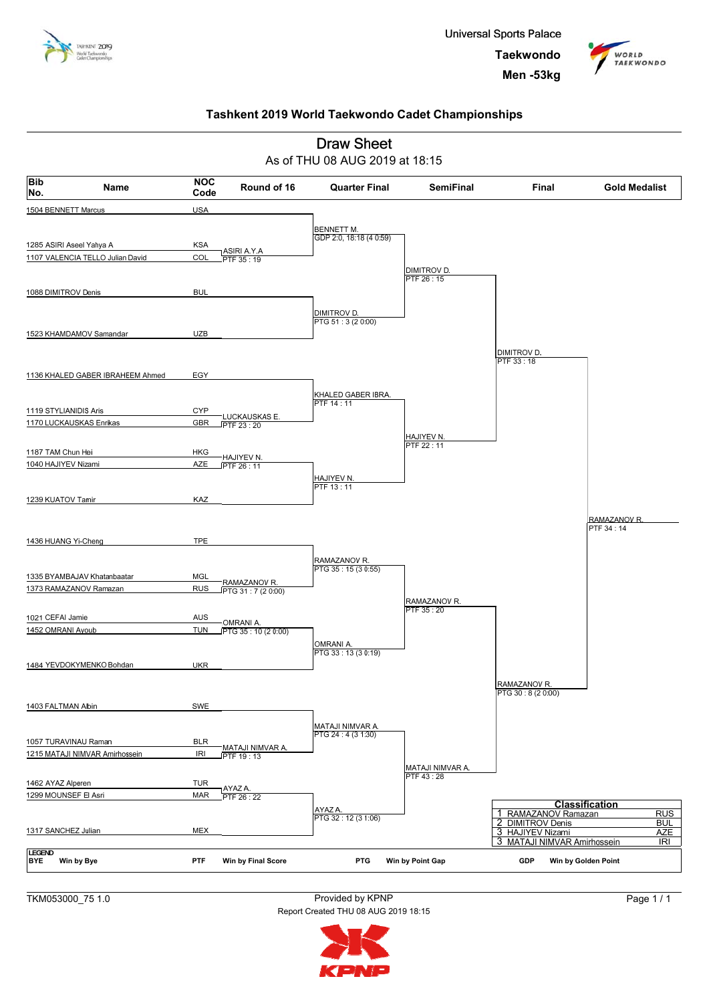





TKM053000\_75 1.0 Provided by KPNP Report Created THU 08 AUG 2019 18:15

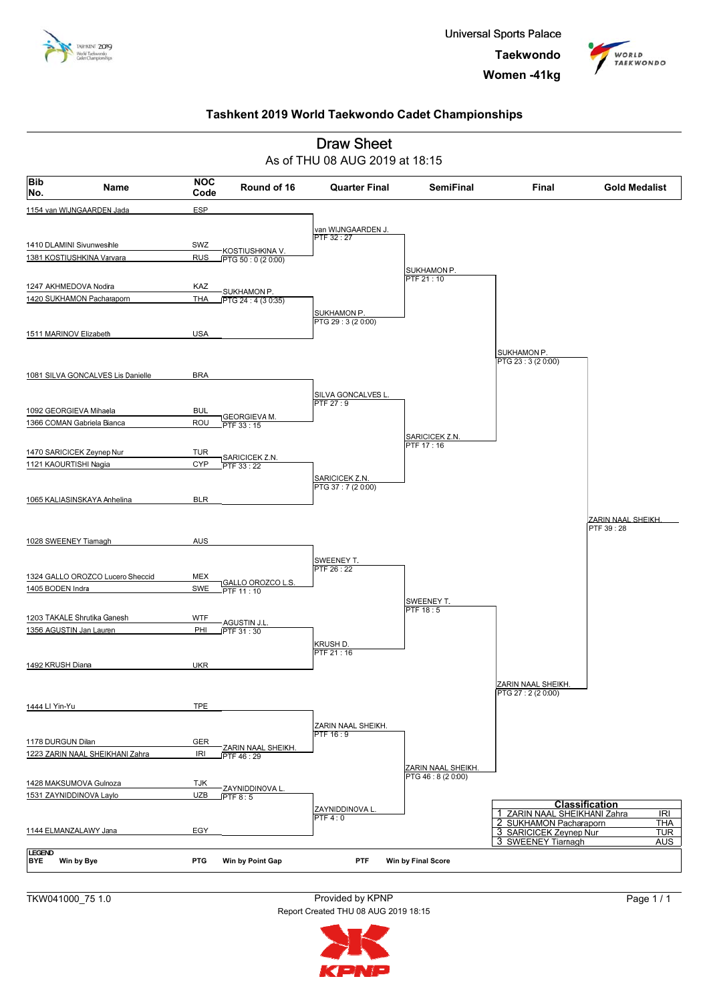





TKW041000\_75 1.0 Provided by KPNP Report Created THU 08 AUG 2019 18:15